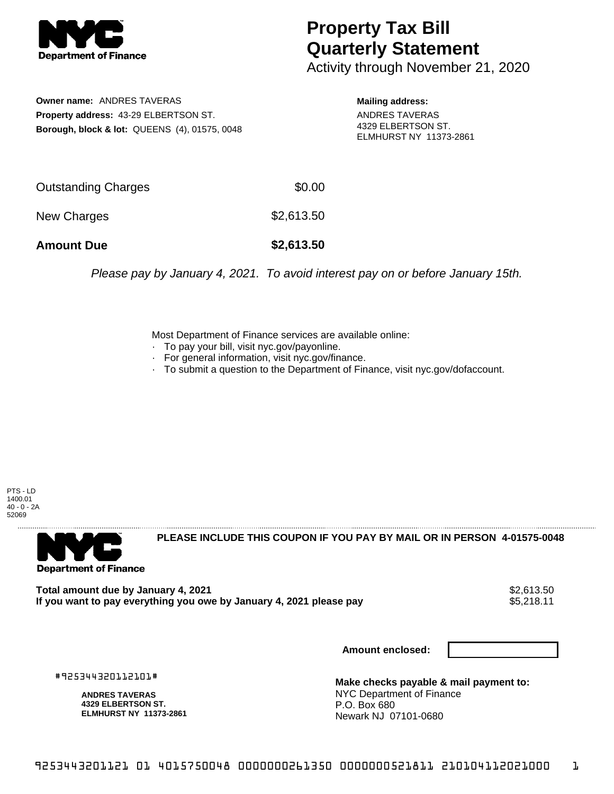

## **Property Tax Bill Quarterly Statement**

Activity through November 21, 2020

**Owner name:** ANDRES TAVERAS **Property address:** 43-29 ELBERTSON ST. **Borough, block & lot:** QUEENS (4), 01575, 0048

**Mailing address:** ANDRES TAVERAS 4329 ELBERTSON ST. ELMHURST NY 11373-2861

| <b>Amount Due</b>   | \$2,613.50 |
|---------------------|------------|
| New Charges         | \$2,613.50 |
| Outstanding Charges | \$0.00     |

Please pay by January 4, 2021. To avoid interest pay on or before January 15th.

Most Department of Finance services are available online:

- · To pay your bill, visit nyc.gov/payonline.
- For general information, visit nyc.gov/finance.
- · To submit a question to the Department of Finance, visit nyc.gov/dofaccount.

PTS - LD 1400.01 40 - 0 - 2A 52069



**PLEASE INCLUDE THIS COUPON IF YOU PAY BY MAIL OR IN PERSON 4-01575-0048** 

Total amount due by January 4, 2021<br>If you want to pay everything you owe by January 4, 2021 please pay **ship want to pay everything you owe by Janu** If you want to pay everything you owe by January 4, 2021 please pay

**Amount enclosed:**

#925344320112101#

**ANDRES TAVERAS 4329 ELBERTSON ST. ELMHURST NY 11373-2861**

**Make checks payable & mail payment to:** NYC Department of Finance P.O. Box 680 Newark NJ 07101-0680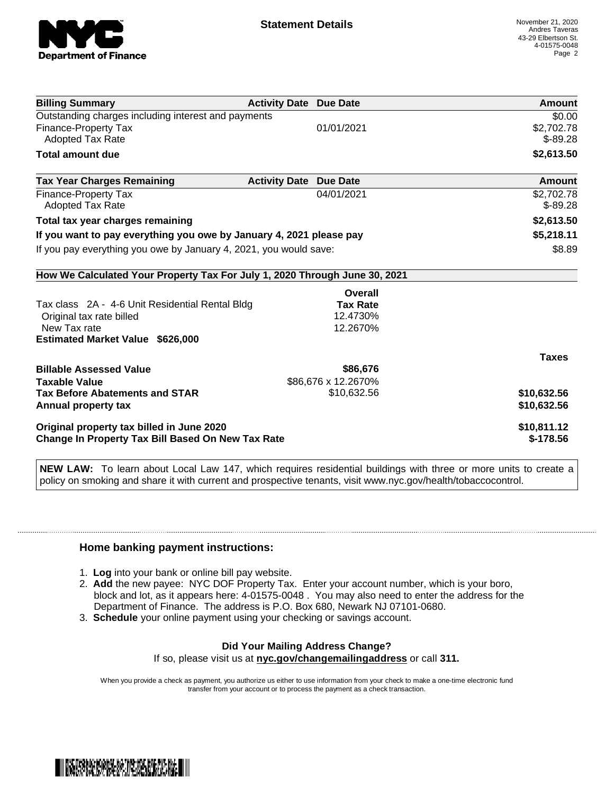

| <b>Billing Summary</b>                                                     | <b>Activity Date Due Date</b>           | Amount       |
|----------------------------------------------------------------------------|-----------------------------------------|--------------|
| Outstanding charges including interest and payments                        |                                         | \$0.00       |
| Finance-Property Tax                                                       | 01/01/2021                              | \$2,702.78   |
| <b>Adopted Tax Rate</b>                                                    |                                         | $$-89.28$    |
| <b>Total amount due</b>                                                    |                                         | \$2,613.50   |
| <b>Tax Year Charges Remaining</b>                                          | <b>Activity Date</b><br><b>Due Date</b> | Amount       |
| <b>Finance-Property Tax</b>                                                | 04/01/2021                              | \$2,702.78   |
| Adopted Tax Rate                                                           |                                         | $$-89.28$    |
| Total tax year charges remaining                                           |                                         | \$2,613.50   |
| If you want to pay everything you owe by January 4, 2021 please pay        |                                         | \$5,218.11   |
| If you pay everything you owe by January 4, 2021, you would save:          |                                         | \$8.89       |
| How We Calculated Your Property Tax For July 1, 2020 Through June 30, 2021 |                                         |              |
|                                                                            | Overall                                 |              |
| Tax class 2A - 4-6 Unit Residential Rental Bldg                            | <b>Tax Rate</b>                         |              |
| Original tax rate billed                                                   | 12.4730%                                |              |
| New Tax rate                                                               | 12.2670%                                |              |
| <b>Estimated Market Value \$626,000</b>                                    |                                         |              |
|                                                                            |                                         | <b>Taxes</b> |
| <b>Billable Assessed Value</b>                                             | \$86,676                                |              |
| <b>Taxable Value</b>                                                       | \$86,676 x 12.2670%                     |              |
| <b>Tax Before Abatements and STAR</b>                                      | \$10,632.56                             | \$10,632.56  |
| Annual property tax                                                        |                                         | \$10,632.56  |
| Original property tax billed in June 2020                                  |                                         | \$10,811.12  |
| <b>Change In Property Tax Bill Based On New Tax Rate</b>                   |                                         | $$-178.56$   |

**NEW LAW:** To learn about Local Law 147, which requires residential buildings with three or more units to create a policy on smoking and share it with current and prospective tenants, visit www.nyc.gov/health/tobaccocontrol.

## **Home banking payment instructions:**

- 1. **Log** into your bank or online bill pay website.
- 2. **Add** the new payee: NYC DOF Property Tax. Enter your account number, which is your boro, block and lot, as it appears here: 4-01575-0048 . You may also need to enter the address for the Department of Finance. The address is P.O. Box 680, Newark NJ 07101-0680.
- 3. **Schedule** your online payment using your checking or savings account.

## **Did Your Mailing Address Change?** If so, please visit us at **nyc.gov/changemailingaddress** or call **311.**

When you provide a check as payment, you authorize us either to use information from your check to make a one-time electronic fund transfer from your account or to process the payment as a check transaction.